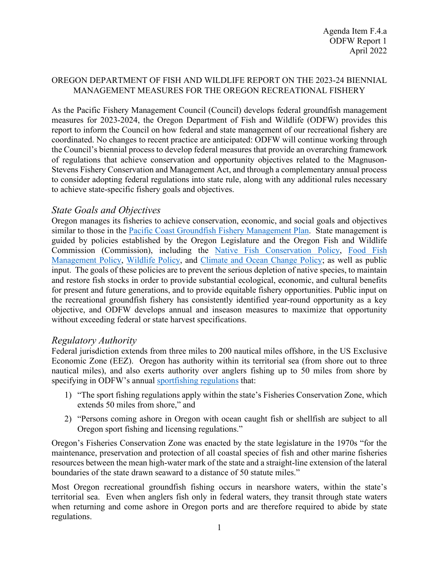#### OREGON DEPARTMENT OF FISH AND WILDLIFE REPORT ON THE 2023-24 BIENNIAL MANAGEMENT MEASURES FOR THE OREGON RECREATIONAL FISHERY

As the Pacific Fishery Management Council (Council) develops federal groundfish management measures for 2023-2024, the Oregon Department of Fish and Wildlife (ODFW) provides this report to inform the Council on how federal and state management of our recreational fishery are coordinated. No changes to recent practice are anticipated: ODFW will continue working through the Council's biennial process to develop federal measures that provide an overarching framework of regulations that achieve conservation and opportunity objectives related to the Magnuson-Stevens Fishery Conservation and Management Act, and through a complementary annual process to consider adopting federal regulations into state rule, along with any additional rules necessary to achieve state-specific fishery goals and objectives.

### *State Goals and Objectives*

Oregon manages its fisheries to achieve conservation, economic, and social goals and objectives similar to those in the [Pacific](https://www.pcouncil.org/documents/2016/08/pacific-coast-groundfish-fishery-management-plan.pdf/#page=19) [Coast Groundfish Fishery Management Plan.](https://www.pcouncil.org/documents/2016/08/pacific-coast-groundfish-fishery-management-plan.pdf/#page=19) State management is guided by policies established by the Oregon Legislature and the Oregon Fish and Wildlife Commission (Commission), including the [Native Fish Conservation Policy,](https://dfw.state.or.us/fish/CRP/docs/nfcp.pdf) [Food Fish](https://oregon.public.law/statutes/ors_506.109)  [Management Policy,](https://oregon.public.law/statutes/ors_506.109) [Wildlife Policy,](https://oregon.public.law/statutes/ors_496.012) and [Climate and Ocean Change Policy;](https://www.dfw.state.or.us/climate_ocean_change/docs/plain_english_version.pdf) as well as public input. The goals of these policies are to prevent the serious depletion of native species, to maintain and restore fish stocks in order to provide substantial ecological, economic, and cultural benefits for present and future generations, and to provide equitable fishery opportunities. Public input on the recreational groundfish fishery has consistently identified year-round opportunity as a key objective, and ODFW develops annual and inseason measures to maximize that opportunity without exceeding federal or state harvest specifications.

### *Regulatory Authority*

Federal jurisdiction extends from three miles to 200 nautical miles offshore, in the US Exclusive Economic Zone (EEZ). Oregon has authority within its territorial sea (from shore out to three nautical miles), and also exerts authority over anglers fishing up to 50 miles from shore by specifying in ODFW's annual [sportfishing regulations](https://www.eregulations.com/assets/docs/guides/22ORFW.pdf#page=82) that:

- 1) "The sport fishing regulations apply within the state's Fisheries Conservation Zone, which extends 50 miles from shore," and
- 2) "Persons coming ashore in Oregon with ocean caught fish or shellfish are subject to all Oregon sport fishing and licensing regulations."

Oregon's Fisheries Conservation Zone was enacted by the state legislature in the 1970s "for the maintenance, preservation and protection of all coastal species of fish and other marine fisheries resources between the mean high-water mark of the state and a straight-line extension of the lateral boundaries of the state drawn seaward to a distance of 50 statute miles."

Most Oregon recreational groundfish fishing occurs in nearshore waters, within the state's territorial sea. Even when anglers fish only in federal waters, they transit through state waters when returning and come ashore in Oregon ports and are therefore required to abide by state regulations.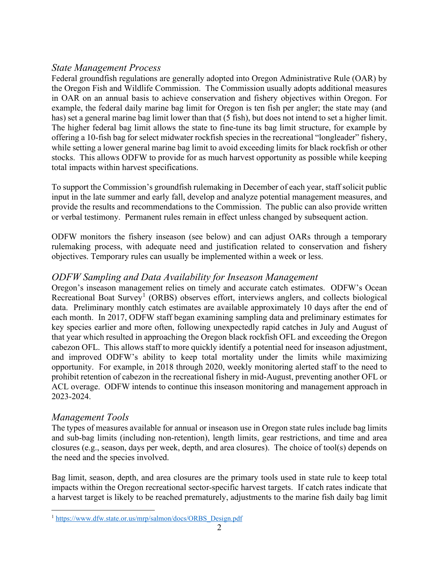## *State Management Process*

Federal groundfish regulations are generally adopted into Oregon Administrative Rule (OAR) by the Oregon Fish and Wildlife Commission. The Commission usually adopts additional measures in OAR on an annual basis to achieve conservation and fishery objectives within Oregon. For example, the federal daily marine bag limit for Oregon is ten fish per angler; the state may (and has) set a general marine bag limit lower than that (5 fish), but does not intend to set a higher limit. The higher federal bag limit allows the state to fine-tune its bag limit structure, for example by offering a 10-fish bag for select midwater rockfish species in the recreational "longleader" fishery, while setting a lower general marine bag limit to avoid exceeding limits for black rockfish or other stocks. This allows ODFW to provide for as much harvest opportunity as possible while keeping total impacts within harvest specifications.

To support the Commission's groundfish rulemaking in December of each year, staff solicit public input in the late summer and early fall, develop and analyze potential management measures, and provide the results and recommendations to the Commission. The public can also provide written or verbal testimony. Permanent rules remain in effect unless changed by subsequent action.

ODFW monitors the fishery inseason (see below) and can adjust OARs through a temporary rulemaking process, with adequate need and justification related to conservation and fishery objectives. Temporary rules can usually be implemented within a week or less.

## *ODFW Sampling and Data Availability for Inseason Management*

Oregon's inseason management relies on timely and accurate catch estimates. ODFW's Ocean Recreational Boat Survey<sup>[1](#page-1-0)</sup> (ORBS) observes effort, interviews anglers, and collects biological data. Preliminary monthly catch estimates are available approximately 10 days after the end of each month. In 2017, ODFW staff began examining sampling data and preliminary estimates for key species earlier and more often, following unexpectedly rapid catches in July and August of that year which resulted in approaching the Oregon black rockfish OFL and exceeding the Oregon cabezon OFL. This allows staff to more quickly identify a potential need for inseason adjustment, and improved ODFW's ability to keep total mortality under the limits while maximizing opportunity. For example, in 2018 through 2020, weekly monitoring alerted staff to the need to prohibit retention of cabezon in the recreational fishery in mid-August, preventing another OFL or ACL overage. ODFW intends to continue this inseason monitoring and management approach in 2023-2024.

### *Management Tools*

The types of measures available for annual or inseason use in Oregon state rules include bag limits and sub-bag limits (including non-retention), length limits, gear restrictions, and time and area closures (e.g., season, days per week, depth, and area closures). The choice of tool(s) depends on the need and the species involved.

Bag limit, season, depth, and area closures are the primary tools used in state rule to keep total impacts within the Oregon recreational sector-specific harvest targets. If catch rates indicate that a harvest target is likely to be reached prematurely, adjustments to the marine fish daily bag limit

<span id="page-1-0"></span><sup>&</sup>lt;sup>1</sup> [https://www.dfw.state.or.us/mrp/salmon/docs/ORBS\\_Design.pdf](https://www.dfw.state.or.us/mrp/salmon/docs/ORBS_Design.pdf)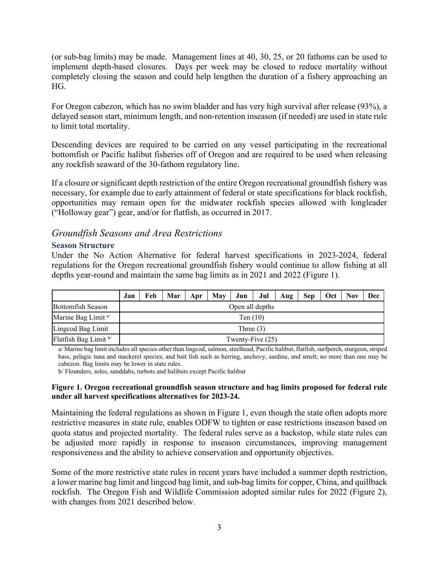(or sub-bag limits) may be made. Management lines at 40, 30, 25, or 20 fathoms can be used to implement depth-based closures. Days per week may be closed to reduce mortality without completely closing the season and could help lengthen the duration of a fishery approaching an HG.

For Oregon cabezon, which has no swim bladder and has very high survival after release (93%), a delayed season start, minimum length, and non-retention inseason (if needed) are used in state rule to limit total mortality.

Descending devices are required to be carried on any vessel participating in the recreational bottomfish or Pacific halibut fisheries off of Oregon and are required to be used when releasing any rockfish seaward of the 30-fathom regulatory line.

If a closure or significant depth restriction of the entire Oregon recreational groundfish fishery was necessary, for example due to early attainment of federal or state specifications for black rockfish, opportunities may remain open for the midwater rockfish species allowed with longleader ("Holloway gear") gear, and/or for flatfish, as occurred in 2017.

# *Groundfish Seasons and Area Restrictions*

#### **Season Structure**

Under the No Action Alternative for federal harvest specifications in 2023-2024, federal regulations for the Oregon recreational groundfish fishery would continue to allow fishing at all depths year-round and maintain the same bag limits as in 2021 and 2022 [\(Figure 1\)](#page-2-0).

|                               | Jan                | Feb | Mar | Apr | May | Jun | Jul | Aug | <b>Sep</b> | Oct | <b>Nov</b> | Dec |
|-------------------------------|--------------------|-----|-----|-----|-----|-----|-----|-----|------------|-----|------------|-----|
| <b>Bottomfish Season</b>      | Open all depths    |     |     |     |     |     |     |     |            |     |            |     |
| Marine Bag Limit <sup>a</sup> | Ten $(10)$         |     |     |     |     |     |     |     |            |     |            |     |
| Lingcod Bag Limit             | Three $(3)$        |     |     |     |     |     |     |     |            |     |            |     |
| Flatfish Bag Limit b          | Twenty-Five $(25)$ |     |     |     |     |     |     |     |            |     |            |     |

a/ Marine bag limit includes all species other than lingcod, salmon, steelhead, Pacific halibut, flatfish, surfperch, sturgeon, striped bass, pelagic tuna and mackerel species, and bait fish such as herring, anchovy, sardine, and smelt; no more than one may be cabezon. Bag limits may be lower in state rules.

b/ Flounders, soles, sanddabs, turbots and halibuts except Pacific halibut

#### <span id="page-2-0"></span>**Figure 1. Oregon recreational groundfish season structure and bag limits proposed for federal rule under all harvest specifications alternatives for 2023-24.**

Maintaining the federal regulations as shown in Figure 1, even though the state often adopts more restrictive measures in state rule, enables ODFW to tighten or ease restrictions inseason based on quota status and projected mortality. The federal rules serve as a backstop, while state rules can be adjusted more rapidly in response to inseason circumstances, improving management responsiveness and the ability to achieve conservation and opportunity objectives.

Some of the more restrictive state rules in recent years have included a summer depth restriction, a lower marine bag limit and lingcod bag limit, and sub-bag limits for copper, China, and quillback rockfish. The Oregon Fish and Wildlife Commission adopted similar rules for 2022 (Figure 2), with changes from 2021 described below.